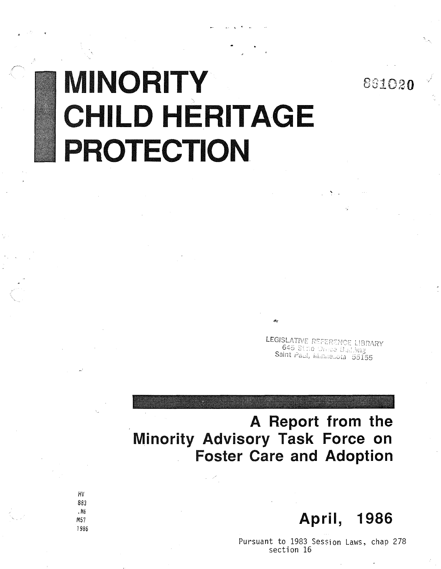# MINORITY CHILD HERITAGE PROTECTION

LEGISLATIVE REFERENCE LIBRARY 645 Stne Omce Building Saint Paul, Minnecota 55155

861020

A Report from the Minority Advisory Task Force on **Foster Care and Adoption** 

April, 1986

Pursuant to 1983 Session Laws, chap 278 section 16

HV 883  $. M6$ M57

1986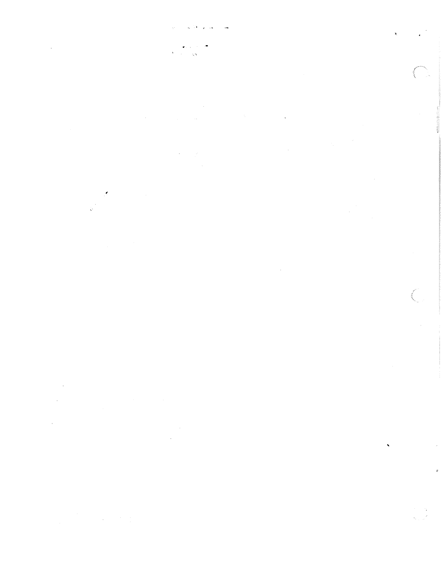$\label{eq:2.1} \frac{1}{\sqrt{2}}\int_{\mathbb{R}^3}\frac{1}{\sqrt{2}}\left(\frac{1}{\sqrt{2}}\right)^2\frac{1}{\sqrt{2}}\left(\frac{1}{\sqrt{2}}\right)^2\frac{1}{\sqrt{2}}\left(\frac{1}{\sqrt{2}}\right)^2\frac{1}{\sqrt{2}}\left(\frac{1}{\sqrt{2}}\right)^2\frac{1}{\sqrt{2}}\left(\frac{1}{\sqrt{2}}\right)^2\frac{1}{\sqrt{2}}\frac{1}{\sqrt{2}}\frac{1}{\sqrt{2}}\frac{1}{\sqrt{2}}\frac{1}{\sqrt{2}}\frac{1}{\sqrt{2}}$ 

 $\label{eq:2.1} \frac{1}{\sqrt{2\pi}}\sum_{i=1}^n\frac{1}{\sqrt{2\pi}}\sum_{i=1}^n\frac{1}{\sqrt{2\pi}}\sum_{i=1}^n\frac{1}{\sqrt{2\pi}}\sum_{i=1}^n\frac{1}{\sqrt{2\pi}}\sum_{i=1}^n\frac{1}{\sqrt{2\pi}}\sum_{i=1}^n\frac{1}{\sqrt{2\pi}}\sum_{i=1}^n\frac{1}{\sqrt{2\pi}}\sum_{i=1}^n\frac{1}{\sqrt{2\pi}}\sum_{i=1}^n\frac{1}{\sqrt{2\pi}}\sum_{i=1}^n\$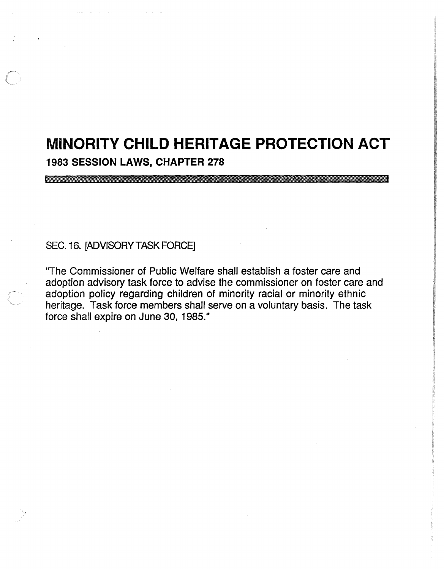## **MINORITY CHILD HERITAGE PROTECTION ACT 1983 SESSION LAWS, CHAPTER 278**

·R Fa

SEC. 16. [ADVISORYTASK FORCE]

@iii:

"The Commissioner of Public Welfare shall establish a foster care and adoption advisory task force to advise the commissioner on foster care and adoption policy regarding children of minority racial or minority ethnic heritage. Task force members shall serve on a voluntary basis. The task force shall expire on June 30, 1985."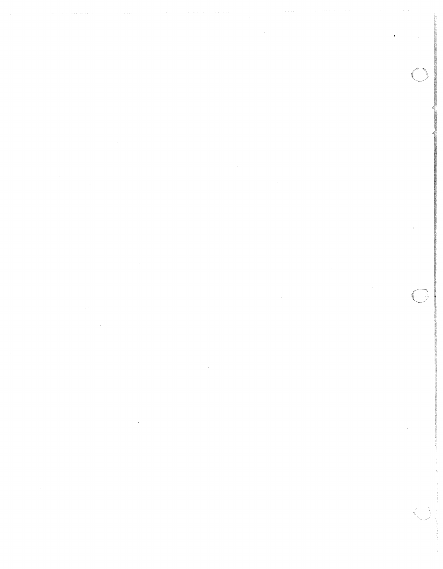$\label{eq:2} \frac{1}{\sqrt{2}}\sum_{i=1}^{n-1}\frac{1}{\sqrt{2}}\sum_{i=1}^{n-1}\frac{1}{\sqrt{2}}\sum_{i=1}^{n-1}\frac{1}{\sqrt{2}}\sum_{i=1}^{n-1}\frac{1}{\sqrt{2}}\sum_{i=1}^{n-1}\frac{1}{\sqrt{2}}\sum_{i=1}^{n-1}\frac{1}{\sqrt{2}}\sum_{i=1}^{n-1}\frac{1}{\sqrt{2}}\sum_{i=1}^{n-1}\frac{1}{\sqrt{2}}\sum_{i=1}^{n-1}\frac{1}{\sqrt{2}}\sum_{i=1}^{n-1}\frac{$ 

 $\mathcal{L}(\mathcal{L}(\mathcal{L}))$  and  $\mathcal{L}(\mathcal{L}(\mathcal{L}))$  . The contribution of the contribution of the contribution of the contribution of the contribution of the contribution of the contribution of the contribution of the contribut

 $\label{eq:2.1} \frac{1}{\sqrt{2\pi}}\sum_{i=1}^n\frac{1}{\sqrt{2\pi}}\sum_{i=1}^n\frac{1}{\sqrt{2\pi}}\sum_{i=1}^n\frac{1}{\sqrt{2\pi}}\sum_{i=1}^n\frac{1}{\sqrt{2\pi}}\sum_{i=1}^n\frac{1}{\sqrt{2\pi}}\sum_{i=1}^n\frac{1}{\sqrt{2\pi}}\sum_{i=1}^n\frac{1}{\sqrt{2\pi}}\sum_{i=1}^n\frac{1}{\sqrt{2\pi}}\sum_{i=1}^n\frac{1}{\sqrt{2\pi}}\sum_{i=1}^n\$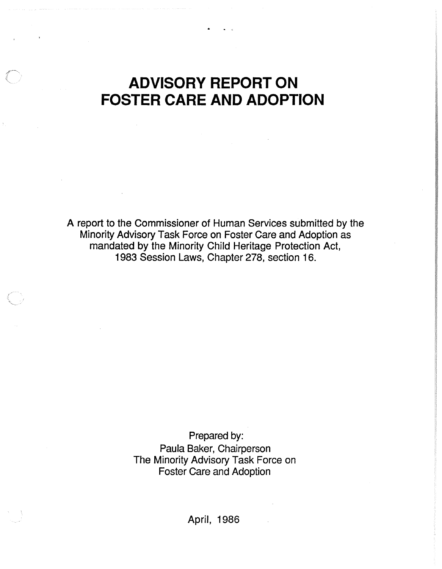## **ADVISORY REPORT ON FOSTER CARE AND ADOPTION**

.. .. '..:.

A report to the Commissioner of Human Services submitted by the Minority Advisory Task Force on Foster Care and Adoption as mandated by the Minority Child Heritage Protection Act, 1983 Session Laws, Chapter 278, section 16.

> Prepared by: Paula Baker, Chairperson The Minority Advisory Task Force on Foster Care and Adoption

> > April, 1986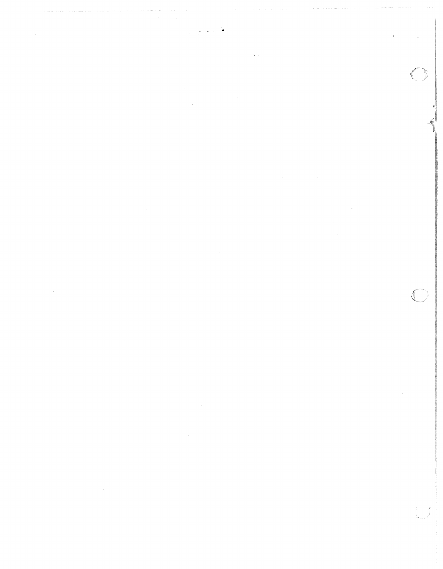$\label{eq:2.1} \mathcal{L}_{\mathcal{A}}(\mathcal{A}) = \mathcal{L}_{\mathcal{A}}(\mathcal{A}) = \mathcal{L}_{\mathcal{A}}(\mathcal{A}) = \mathcal{L}_{\mathcal{A}}(\mathcal{A})$ 

 $\label{eq:2.1} \frac{1}{\sqrt{2}}\int_{\mathbb{R}^3}\frac{1}{\sqrt{2}}\left(\frac{1}{\sqrt{2}}\right)^2\frac{1}{\sqrt{2}}\left(\frac{1}{\sqrt{2}}\right)^2\frac{1}{\sqrt{2}}\left(\frac{1}{\sqrt{2}}\right)^2\frac{1}{\sqrt{2}}\left(\frac{1}{\sqrt{2}}\right)^2.$ 

 $\label{eq:2.1} \frac{1}{\sqrt{2\pi}}\int_{\mathbb{R}^3}\frac{1}{\sqrt{2\pi}}\left(\frac{1}{\sqrt{2\pi}}\right)^2\frac{1}{\sqrt{2\pi}}\int_{\mathbb{R}^3}\frac{1}{\sqrt{2\pi}}\left(\frac{1}{\sqrt{2\pi}}\right)^2\frac{1}{\sqrt{2\pi}}\frac{1}{\sqrt{2\pi}}\int_{\mathbb{R}^3}\frac{1}{\sqrt{2\pi}}\frac{1}{\sqrt{2\pi}}\frac{1}{\sqrt{2\pi}}\frac{1}{\sqrt{2\pi}}\frac{1}{\sqrt{2\pi}}\frac{1}{\sqrt{2\$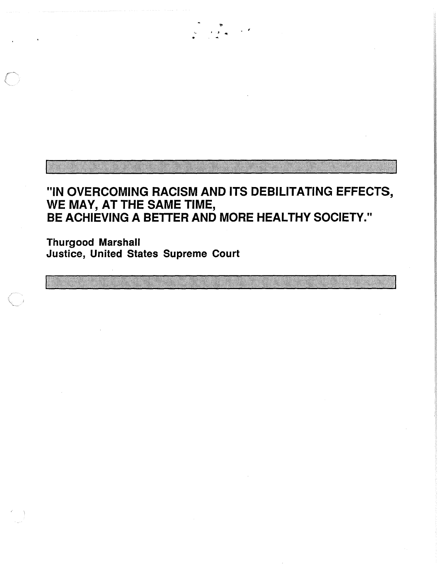## "IN OVERCOMING RACISM AND ITS DEBILITATING EFFECTS, WE MAY, AT THE SAME TIME, BE ACHIEVING A BETTER AND MORE HEALTHY SOCIETY."

|<br>|-<br>|-<br>|-<br>|-<br>|-

Thurgood Marshall Justice, United States Supreme Court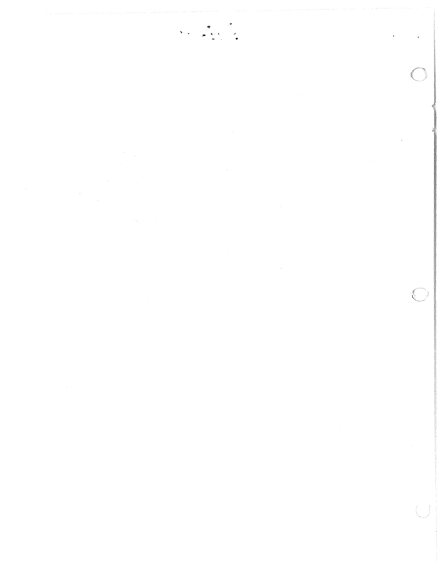

 $\label{eq:2.1} \frac{1}{\sqrt{2\pi}}\frac{d\mu}{d\mu} \frac{d\mu}{d\mu} = \frac{1}{\sqrt{2\pi}}\frac{d\mu}{d\mu} \frac{d\mu}{d\mu} = \frac{1}{\sqrt{2\pi}}\frac{d\mu}{d\mu} \frac{d\mu}{d\mu} = \frac{1}{\sqrt{2\pi}}\frac{d\mu}{d\mu} \frac{d\mu}{d\mu} = \frac{1}{\sqrt{2\pi}}\frac{d\mu}{d\mu} \frac{d\mu}{d\mu} = \frac{1}{\sqrt{2\pi}}\frac{d\mu}{d\mu} \frac{d\mu}{d\mu} = \$ 

 $\label{eq:2.1} \mathcal{L}(\mathcal{L}^{\text{max}}_{\mathcal{L}}(\mathcal{L}^{\text{max}}_{\mathcal{L}})) \leq \mathcal{L}(\mathcal{L}^{\text{max}}_{\mathcal{L}}(\mathcal{L}^{\text{max}}_{\mathcal{L}}))$ 

 $\hat{\mathcal{A}}$ 

 $\label{eq:2.1} \frac{1}{\sqrt{2}}\left(\frac{1}{\sqrt{2}}\right)^{2} \left(\frac{1}{\sqrt{2}}\right)^{2} \left(\frac{1}{\sqrt{2}}\right)^{2} \left(\frac{1}{\sqrt{2}}\right)^{2} \left(\frac{1}{\sqrt{2}}\right)^{2} \left(\frac{1}{\sqrt{2}}\right)^{2} \left(\frac{1}{\sqrt{2}}\right)^{2} \left(\frac{1}{\sqrt{2}}\right)^{2} \left(\frac{1}{\sqrt{2}}\right)^{2} \left(\frac{1}{\sqrt{2}}\right)^{2} \left(\frac{1}{\sqrt{2}}\right)^{2} \left(\$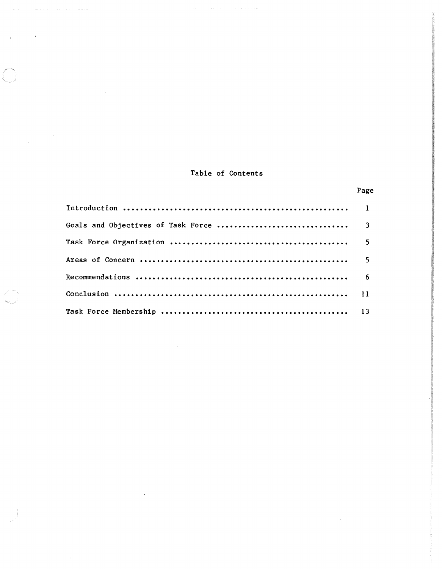### Table of Contents

| Page |
|------|
|      |
|      |
|      |
|      |
|      |
|      |
|      |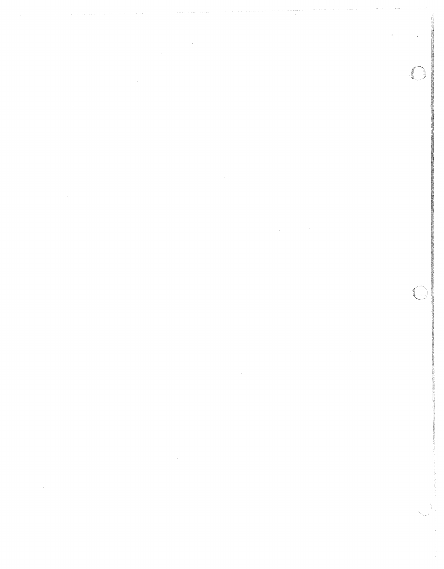$\label{eq:2.1} \frac{1}{\sqrt{2}}\int_{\mathbb{R}^3}\frac{1}{\sqrt{2}}\left(\frac{1}{\sqrt{2}}\right)^2\frac{1}{\sqrt{2}}\left(\frac{1}{\sqrt{2}}\right)^2\frac{1}{\sqrt{2}}\left(\frac{1}{\sqrt{2}}\right)^2\frac{1}{\sqrt{2}}\left(\frac{1}{\sqrt{2}}\right)^2.$ 

 $\mathcal{A}^{\text{max}}_{\text{max}}$  and  $\mathcal{A}^{\text{max}}_{\text{max}}$ 

 $\label{eq:2.1} \mathcal{L}(\mathcal{L}^{\text{max}}_{\mathcal{L}}(\mathcal{L}^{\text{max}}_{\mathcal{L}}),\mathcal{L}^{\text{max}}_{\mathcal{L}}(\mathcal{L}^{\text{max}}_{\mathcal{L}}))$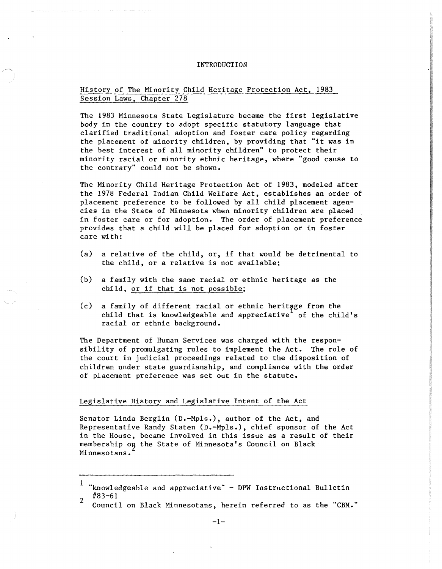#### INTRODUCTION

#### History of The Minority Child Heritage Protection Act, 1983 Session Laws, Chapter 278

The <sup>1983</sup> Minnesota State Legislature became the first legislative body in the country to adopt specific statutory language that clarified traditional adoption and foster care policy regarding the placement of minority children, by providing that "it was in the best interest of all minority children" to protect their minority racial or minority ethnic heritage, where "good cause to the contrary" could not be shown.

The Minority Child Heritage Protection Act of 1983, modeled after the 1978 Federal Indian Child Welfare Act, establishes an order of placement preference to be followed by all child placement agencies in the State of Minnesota when minority children are placed in foster care or for adoption. The order of placement preference provides that a child will be placed for adoption or in foster care with:

- (a) <sup>a</sup> relative of the child, or, if that would be detrimental to the child, or a relative is not available;
- (b) a family with the same racial or ethnic heritage as the child, or if that is not possible;
- (c) a family of different racial or ethnic heritage from the child that is knowledgeable and appreciative<sup>t</sup> of the child's racial or ethnic background.

The Department of Human Services was charged with the responsibility of promulgating rules to implement the Act. The role of the court in judicial proceedings related to the disposition of children under state guardianship, and compliance with the order of placement preference was set out in the statute.

#### Legislative History and Legislative Intent of the Act

Senator Linda Berglin (D.-Mpls.), author of the Act, and Representative Randy Staten (D.-Mpls.), chief sponsor of the Act in the House, became involved in this issue as a result of their membership on the State of Minnesota's Council on Black Minnesotans.

<sup>1</sup> "knowledgeable and appreciative" - DPW Instructional Bulletin *1/83-61*

<sup>2</sup> Council on Black Minnesotans, herein referred to as the "CBM."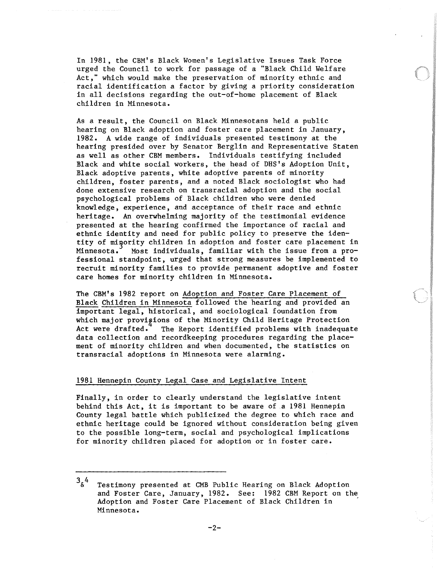In 1981, the CBM's Black Women's Legislative Issues Task Force urged the Council to work for passage of a "Black Child Welfare Act," which would make the preservation of minority ethnic and racial identification a factor by giving a priority consideration in all decisions regarding the out-of-home placement of Black children in Minnesota.

As a result, the Council on Black Minnesotans held a public hearing on Black adoption and foster care placement in January. 1982. A wide range of individuals presented testimony at the hearing presided over by Senator Berglin and Representative Staten as well as other CBM members. Individuals testifying included Black and white social workers, the head of DHS's Adoption Unit. Black adoptive parents, white adoptive parents of minority children, foster parents, and a noted Black sociologist who had done extensive research on transracial adoption and the social psychological problems of Black children who were denied knowledge, experience, and acceptance of their race and ethnic heritage. An overwhelming majority of the testimonial evidence presented at the hearing confirmed the importance of racial and ethnic identity and need for public policy to preserve the identity of minority children in adoption and foster care placement in Minnesota. Most individuals, familiar with the issue from a professional standpoint, urged that strong measures be implemented to recruit minority families to provide permanent adoptive and foster care homes for minority children in Minnesota.

The CBM's 1982 report on Adoption and Foster Care Placement of Black Children in Minnesota followed the hearing and provided an important legal, historical, and sociological foundation from which major provisions of the Minority Child Heritage Protection Act were drafted.<sup>"</sup> The Report identified problems with inadequate data collection and recordkeeping procedures regarding the placement of minority children and when documented, the statistics on transracial adoptions in Minnesota were alarming.

#### 1981 Hennepin County Legal Case and Legislative Intent

Finally, in order to clearly understand the legislative intent behind this Act, it is important to be aware of a 1981 Hennepin County legal battle which publicized the degree to which race and ethnic heritage could be ignored without consideration being given to the possible long-term, social and psychological implications for minority children placed for adoption or in foster care.

<sup>3&</sup>amp;4 Testimony presented at CMB Public Hearing on Black Adoption and Foster Care, January, 1982. See: 1982 CBM Report on the Adoption and Foster Care Placement of Black Children in ' Minnesota.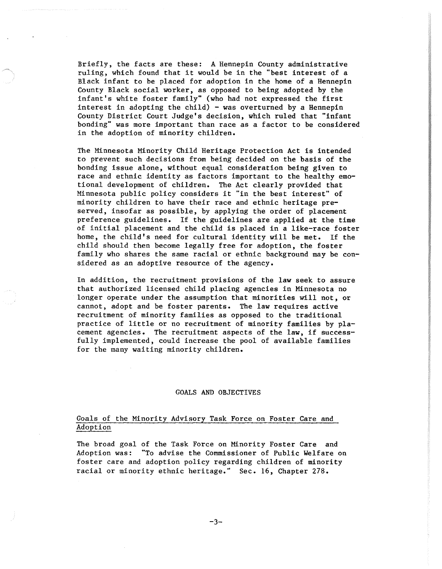Briefly, the facts are these: A Hennepin County administrative ruling, which found that it would be in the "best interest of <sup>a</sup> Black infant to be placed for adoption in the home of a Hennepin County Black social worker, as opposed to being adopted by the infant's white foster family" (who had not expressed the first interest in adopting the child)  $-$  was overturned by a Hennepin County District Court Judge's decision, which ruled that "infant bonding" was more important than race as a factor to be considered in the adoption of minority children.

The Minnesota Minority Child Heritage Protection Act is intended to prevent such decisions from being decided on the basis of the bonding issue alone, without equal consideration being given to race and ethnic identity as factors important to the healthy emotional development of children. The Act clearly provided that Minnesota public policy considers it "in the best interest" of minority children to have their race and ethnic heritage preserved, insofar as possible, by applying the order of placement preference guidelines. If the guidelines are applied at the time of initial placement and the child is placed in a like-race foster home, the child's need for cultural identity will be met. If the child should then become legally free for adoption, the foster family who shares the same racial or ethnic background may be considered as an adoptive resource of the agency.

In addition, the recruitment provisions of the law seek to assure that authorized licensed child placing agencies in Minnesota no longer operate under the assumption that minorities will not, or cannot, adopt and be foster parents. The law requires active recruitment of minority families as opposed to the traditional practice of little or no recruitment of minority families by placement agencies. The recruitment aspects of the law, if successfully implemented, could increase the pool of available families for the many waiting minority children.

#### GOALS AND OBJECTIVES

#### Goals of the Minority Advisory Task Force on Foster Care and Adoption

The broad goal of the Task Force on Minority Foster Care and Adoption was: "To advise the Commissioner of Public Welfare on foster care and adoption policy regarding children of minority racial or minority ethnic heritage." Sec. 16, Chapter 278.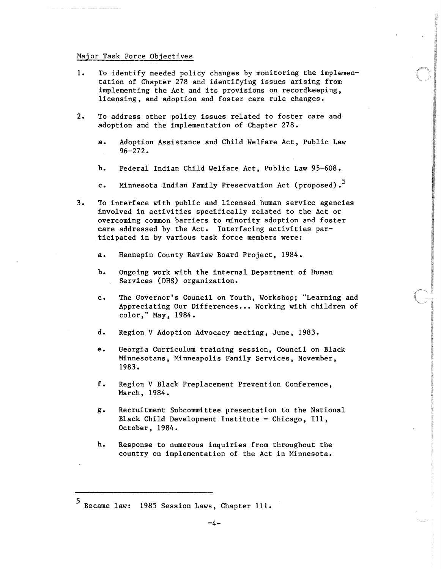#### Major Task Force Objectives

- 1. To identify needed policy changes by monitoring the implementation of Chapter 278 and identifying issues arising from implementing the Act and its provisions on recordkeeping, licensing, and adoption and foster care rule changes.
- 2. To address other policy issues related to foster care and adoption and the implementation of Chapter 278.
	- a. Adoption Assistance and Child Welfare Act, Public Law 96-272.
	- b. Federal Indian Child Welfare Act, Public Law 95-608.
	- c. Minnesota Indian Family Preservation Act (proposed).<sup>5</sup>
- 3. To interface with public and licensed human service agencies involved in activities specifically related to the Act or overcoming common barriers to minority adoption and foster care addressed by the Act. Interfacing activities participated in by various task force members were:
	- a. Hennepin County Review Board Project, 1984.
	- b. Ongoing work with the internal Department of Human Services (DRS) organization.
	- c. The Governor's Council on Youth, Workshop; "Learning and Appreciating Our Differences... Working with children of color," May, 1984.
	- d. Region V Adoption Advocacy meeting, June, 1983.
	- e. Georgia Curriculum training session, Council on Black Minnesotans, Minneapolis Family Services, November, 1983.
	- f. Region V Black Preplacement Prevention Conference, March, 1984.
	- g. Recruitment Subcommittee presentation to the National Black Child Development Institute - Chicago, Ill, October, 1984.
	- h. Response to numerous inquiries from throughout the country on implementation of the Act in Minnesota.

<sup>5</sup> Became law: <sup>1985</sup> Session Laws, Chapter Ill.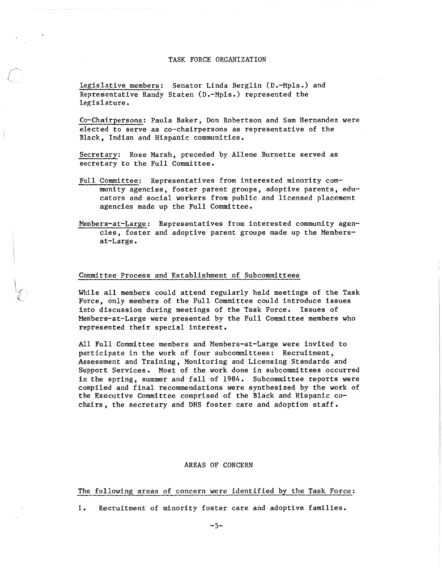#### TASK FORCE ORGANIZATION

Legislative members: Senator Linda Berglin (D.-Mpls.) and Representative Randy Staten (D.-Mpls.) represented the Legislature.

Co-Chairpersons: Paula Baker, Don Robertson and Sam Hernandez were elected to serve as co-chairpersons as representative of the Black, Indian and Hispanic communities.

Secretary: Rose Marsh, preceded by Allene Burnette served as secretary to the Full Committee.

- Full Committee: Representatives from interested minority community agencies, foster parent groups, adoptive parents, educators and social workers from public and licensed placement agencies made up the Full Committee.
- Members-at-Large: Representatives from interested community agencies, foster and adoptive parent groups made up the Membersat-Large.

#### Committee Process and Establishment of Subcommittees

While all members could attend regularly held meetings of the Task Force, only members of the Full Committee could introduce issues into discussion during meetings of the Task Force. Issues of Members-at-Large were presented by the Full Committee members who represented their special interest.

All Full Committee members and Members-at-Large were invited to participate in the work of four subcommittees: Recruitment, Assessment and Training, Monitoring and Licensing Standards and Support Services. Most of the work done in subcommittees occurred in the spring, summer and fall of 1984. Subcommittee reports were compiled and final recommendations were synthesized by the work of the Executive Committee comprised of the Black and Hispanic cochairs, the secretary and DHS foster care and adoption staff.

#### AREAS OF CONCERN

The following areas of concern were identified by the Task Force:

**1.** Recruitment of minority foster care and adoptive families.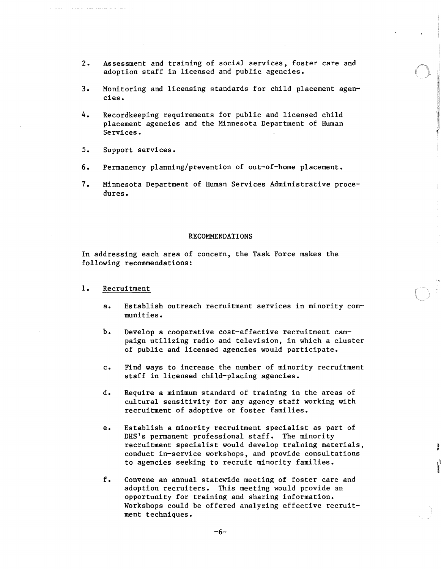- 2. Assessment and training of social services, foster care and adoption staff in licensed and public agencies.
- 3. Monitoring and licensing standards for child placement agencies.
- 4. Recordkeeping requirements for public and licensed child placement agencies and the Minnesota Department of Ruman Services.
- 5. Support services.
- 6. Permanency planning/prevention of out-of-home placement.
- 7. Minnesota Department of Ruman Services Administrative procedures.

#### RECOMMENDATIONS

In addressing each area of concern, the Task Force makes the following recommendations:

- 1. Recruitment
	- a. Establish outreach recruitment services in minority communities.
	- b. Develop a cooperative cost-effective recruitment campaign utilizing radio and television, in which a cluster of public and licensed agencies would participate.
	- c. Find ways to increase the number of minority recruitment staff in licensed child-placing agencies.
	- d. Require a minimum standard of training in the areas of cultural sensitivity for any agency staff working with recruitment of adoptive or foster families.
	- e. Establish a minority recruitment specialist as part of DRS's permanent professional staff. The minority recruitment specialist would develop tralning materials, conduct in-service workshops, and provide consultations to agencies seeking to recruit minority families.
	- f. Convene an annual statewide meeting of foster care and adoption recruiters. This meeting would provide an opportunity for training and sharing information. Workshops could be offered analyzing effective recruitment techniques.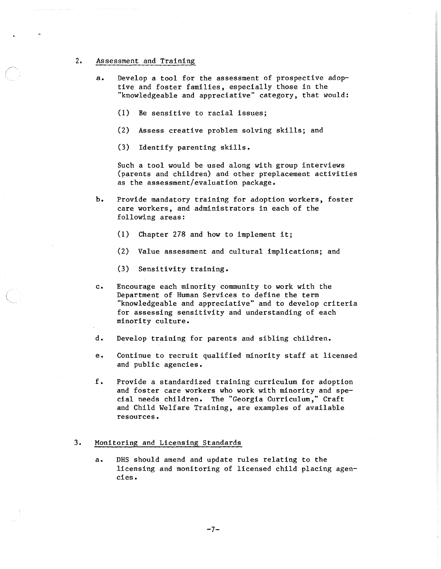#### 2. Assessment and Training

- a. Develop a tool for the assessment of prospective adoptive and foster families, especially those in the "knowledgeable and appreciative" category, that would:
	- (1) Be sensitive to racial issues;
	- (2) Assess creative problem solving skills; and
	- (3) Identify parenting skills.

Such a tool would be used along with group interviews (parents and children) and other preplacement activities as the assessment/evaluation package.

- b. Provide mandatory training for adoption workers, foster care workers, and administrators in each of the following areas:
	- (1) Chapter <sup>278</sup> and how to implement it;
	- (2) Value assessment and cultural implications; and
	- (3) Sensitivity training.
- c. Encourage each minority community to work with the Department of Human Services to define the term "knowledgeable and appreciative" and to develop criteria for assessing sensitivity and understanding of each minority culture.
- d. Develop training for parents and sibling children.
- e. Continue to recruit qualified minority staff at licensed and public agencies.
- f. Provide a standardized training curriculum for adoption and foster care workers who work with minority and special needs children. The "Georgia Curriculum," Craft and Child Welfare Training, are examples of available resources.

#### 3. Monitoring and Licensing Standards

a. DRS should amend and update rules relating to the licensing and monitoring of licensed child placing agencies.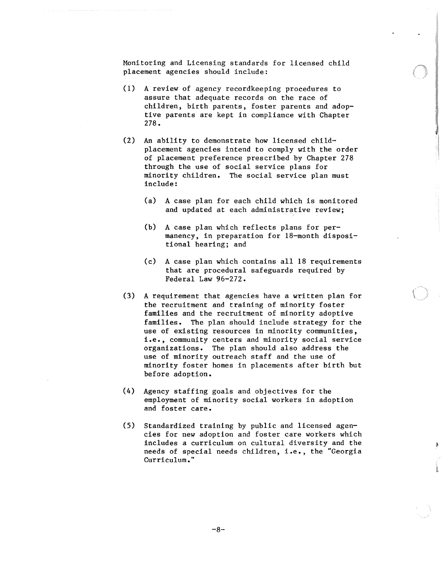Monitoring and Licensing standards for licensed child placement agencies should include:

- (1) A review of agency recordkeeping procedures to assure that adequate records on the race of children, birth parents, foster parents and adoptive parents are kept in compliance with Chapter 278.
- (2) An ability to demonstrate how licensed childplacement agencies intend to comply with the order of placement preference prescribed by Chapter 278 through the use of social service plans for minority children. The social service plan must include:
	- (a) A case plan for each child which is monitored and updated at each administrative review;
	- (b) A case plan which reflects plans for permanency, in preparation for 18-month dispositional hearing; and
	- (c) <sup>A</sup> case plan which contains all <sup>18</sup> requirements that are procedural safeguards required by Federal Law 96-272.
- (3) A requirement that agencies have a written plan for the recruitment and training of minority foster families and the recruitment of minority adoptive families. The plan should include strategy for the use of existing resources in minority communities, i.e., community centers and minority social service organizations. The plan should also address the use of minority outreach staff and the use of minority foster homes in placements after birth but before adoption.
- (4) Agency staffing goals and objectives for the employment of minority social workers in adoption and foster care.
- (5) Standardized training by public and licensed agencies for new adoption and foster care workers which includes a curriculum on cultural diversity and the needs of special needs children, i.e., the "Georgia Curriculum."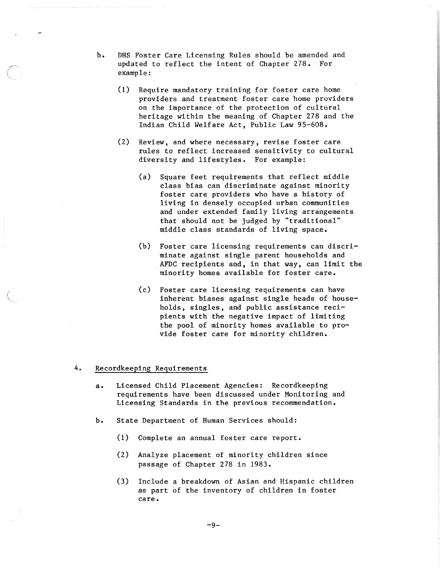- b. DHS Foster Care Licensing Rules should be amended and updated to reflect the intent of Chapter 278. For example:
	- (1) Require mandatory training for foster care home providers and treatment foster care home providers on the importance of the protection of cultural heritage within the meaning of Chapter 278 and the Indian Child Welfare Act, Public Law 95-608.
	- (2) Review, and where necessary, revise foster care rules to reflect increased sensitivity to cultural diversity and lifestyles. For example:
		- (a) Square feet requirements that reflect middle class bias can discriminate against minority foster care providers who have a history of living in densely occupied urban communities and under extended family living arrangements that should not be judged by "traditional" middle class standards of living space.
		- (b) Foster care licensing requirements can discriminate against single parent households and AFDC recipients and, in that way, can limit the minority homes available for foster care.
		- (c) Foster care licensing requirements can have inherent biases against single heads of households, singles, and public assistance recipients with the negative impact of limiting the pool of minority homes available to provide foster care for minority children.

#### 4. Recordkeeping Requirements

- a. Licensed Child Placement Agencies: Recordkeeping requirements have been discussed under Monitoring and Licensing Standards in the previous recommendation.
- b. State Department of Human Services should:
	- (1) Complete an annual foster care report.
	- (2) Analyze placement of minority children since passage of Chapter 278 in 1983.
	- (3) Include a breakdown of Asian and Hispanic children as part of the inventory of children in foster care.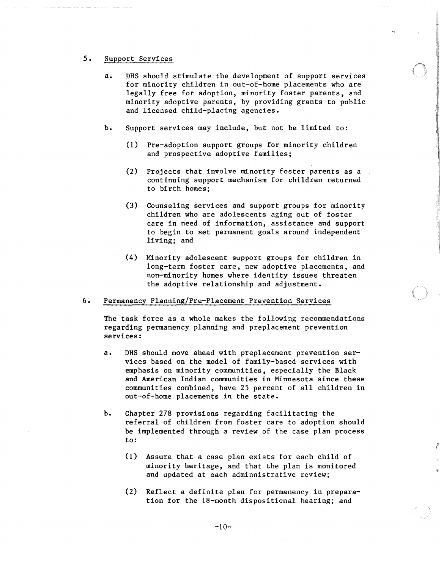#### 5. Support Services

- a. DRS should stimulate the development of support services for minority children in out-of-home placements who are legally free for adoption, minority foster parents, and minority adoptive parents, by providing grants to public and licensed child-placing agencies.
- b. Support services may include, but not be limited to:
	- (1) Pre-adoption support groups for minority children and prospective adoptive families;
	- (2) Projects that involve minority foster parents as a continuing support mechanism for children returned to birth homes;
	- (3) Counseling services and support groups for minority children who are adolescents aging out of foster care in need of information, assistance and support to begin to set permanent goals around independent living; and
	- (4) Minority adolescent support groups for children in long-term foster care, new adoptive placements, and non-minority homes where identity issues threaten the adoptive relationship and adjustment.

#### 6. Permanency Planning/Pre-Placement Prevention Services

The task force as a whole makes the following recommendations regarding permanency planning and preplacement prevention services:

- a. DRS should move ahead with preplacement prevention services based on the model of family-based services with emphasis on minority communities, especially the Black and American Indian communities in Minnesota since these communities combined, have 25 percent of all children in out-of-home placements in the state.
- b. Chapter 278 provisions regarding facilitating the referral of children from foster care to adoption should be implemented through a review of the case plan process to:
	- (1) Assure that a case plan exists for each child of minority heritage, and that the plan is monitored and updated at each adminnistrative review;
	- (2) Reflect a definite plan for permanency in preparation for the 18-month dispositional hearing; and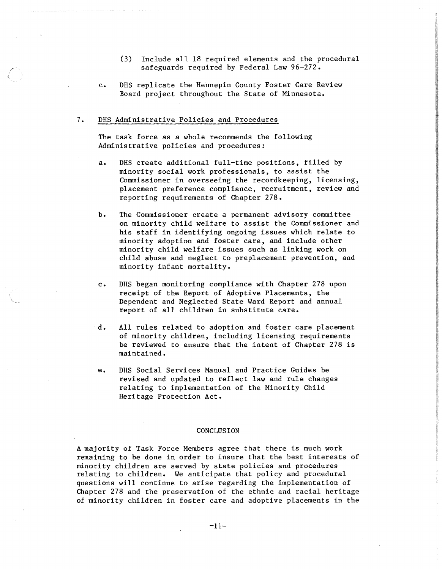- (3) Include all 18 required elements and the procedural safeguards required by Federal Law 96-272.
- c. DHS replicate the Hennepin County Foster Care Review Board project throughout the State of Minnesota.

#### 7. DHS Administrative Policies and Procedures

The task force as a whole recommends the following Administrative policies and procedures:

- a. DHS create additional full-time positions, filled by minority social work professionals, to assist the Commissioner in overseeing the recordkeeping, licensing, placement preference compliance, recruitment, review and reporting requirements of Chapter 278.
- b. The Commissioner create a permanent advisory committee on minority child welfare to assist the Commissioner and his staff in identifying ongoing issues which relate to minority adoption and foster care, and include other minority child welfare issues such as linking work on child abuse and neglect to preplacement prevention, and minority infant mortality.
- c. DHS began monitoring compliance with Chapter 278 upon receipt of the Report of Adoptive Placements, the Dependent and Neglected State Ward Report and annual report of all children in substitute care.
- d. All rules related to adoption and foster care placement of minority children, including licensing requirements be reviewed to ensure that the intent of Chapter <sup>278</sup> is maintained.
- e. DHS Social Services Manual and Practice Guides be revised and updated to reflect law and rule changes relating to implementation of the Minority Child Heritage Protection Act.

#### **CONCLUSION**

A majority of Task Force Members agree that there is much work remaining to be done in order to insure that the best interests of minority children are served by state policies and procedures relating to children. We anticipate that policy and procedural questions will continue to arise regarding the implementation of Chapter 278 and the preservation of the ethnic and racial heritage of minority children in foster care and adoptive placements in the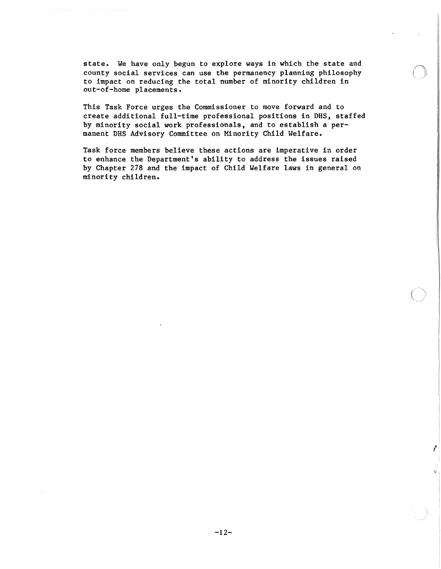state. We have only begun to explore ways in which the state and county social services can use the permanency planning philosophy to impact on reducing the total number of minority children in out-of-home placements.

This Task Force urges the Commissioner to move forward and to create additional full-time professional positions in DHS, staffed by minority social work professionals, and to establish a permanent DHS Advisory Committee on Minority Child Welfare.

Task force members believe these actions are imperative in order to enhance the Department's ability to address the issues raised by Chapter 278 and the impact of Child Welfare laws in general on minority children.

f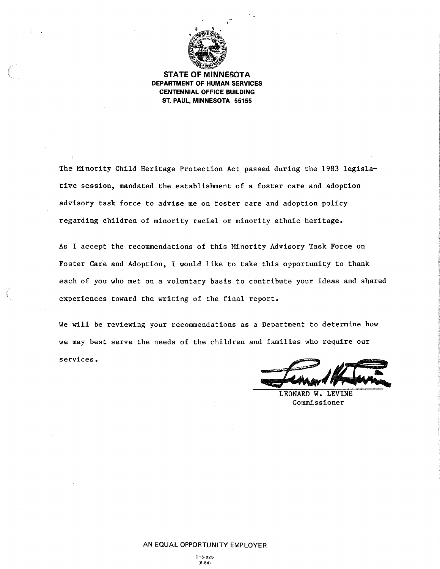

**STATE OF MINNESOTA DEPARTMENT OF HUMAN** SERVICES **CENTENNIAL OFFICE BUILDING** ST. PAUL, **MINNESOTA** 55155

The Minority Child Heritage Protection Act passed during the 1983 legislative session, mandated the establishment of a foster care and adoption advisory task force to advise me on foster care and adoption policy regarding children of minority racial or minority ethnic heritage.

As I accept the recommendations of this Minority Advisory Task Force on Foster Care and Adoption, I would like to take this opportunity to thank each of you who met on a voluntary basis to contribute your ideas and shared experiences toward the writing of the final report.

We will be reviewing your recommendations as a Department to determine how we may best serve the needs of the children and families who require our services.

LEONARD W. LEVINE Commissioner

OHS-825 (6-84)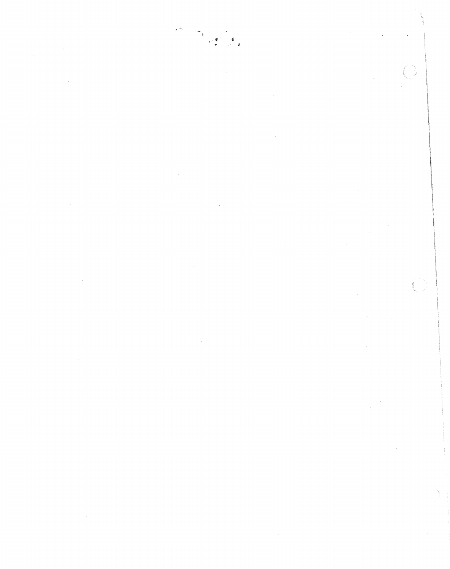$\label{eq:2.1} \frac{1}{\sqrt{2}}\int_{\mathbb{R}^3}\frac{1}{\sqrt{2}}\left(\frac{1}{\sqrt{2}}\right)^2\left(\frac{1}{\sqrt{2}}\right)^2\left(\frac{1}{\sqrt{2}}\right)^2\left(\frac{1}{\sqrt{2}}\right)^2\left(\frac{1}{\sqrt{2}}\right)^2\left(\frac{1}{\sqrt{2}}\right)^2\left(\frac{1}{\sqrt{2}}\right)^2\left(\frac{1}{\sqrt{2}}\right)^2\left(\frac{1}{\sqrt{2}}\right)^2\left(\frac{1}{\sqrt{2}}\right)^2\left(\frac{1}{\sqrt{2}}\right)^2\left(\frac$ 

 $\label{eq:2.1} \frac{1}{\sqrt{2}}\left(\frac{1}{\sqrt{2}}\right)^{2} \left(\frac{1}{\sqrt{2}}\right)^{2} \left(\frac{1}{\sqrt{2}}\right)^{2} \left(\frac{1}{\sqrt{2}}\right)^{2} \left(\frac{1}{\sqrt{2}}\right)^{2} \left(\frac{1}{\sqrt{2}}\right)^{2} \left(\frac{1}{\sqrt{2}}\right)^{2} \left(\frac{1}{\sqrt{2}}\right)^{2} \left(\frac{1}{\sqrt{2}}\right)^{2} \left(\frac{1}{\sqrt{2}}\right)^{2} \left(\frac{1}{\sqrt{2}}\right)^{2} \left(\$ 

 $\bigcirc$ 

 $\label{eq:2.1} \frac{1}{\sqrt{2}}\left(\frac{1}{\sqrt{2}}\right)^{2} \left(\frac{1}{\sqrt{2}}\right)^{2} \left(\frac{1}{\sqrt{2}}\right)^{2} \left(\frac{1}{\sqrt{2}}\right)^{2} \left(\frac{1}{\sqrt{2}}\right)^{2} \left(\frac{1}{\sqrt{2}}\right)^{2} \left(\frac{1}{\sqrt{2}}\right)^{2} \left(\frac{1}{\sqrt{2}}\right)^{2} \left(\frac{1}{\sqrt{2}}\right)^{2} \left(\frac{1}{\sqrt{2}}\right)^{2} \left(\frac{1}{\sqrt{2}}\right)^{2} \left(\$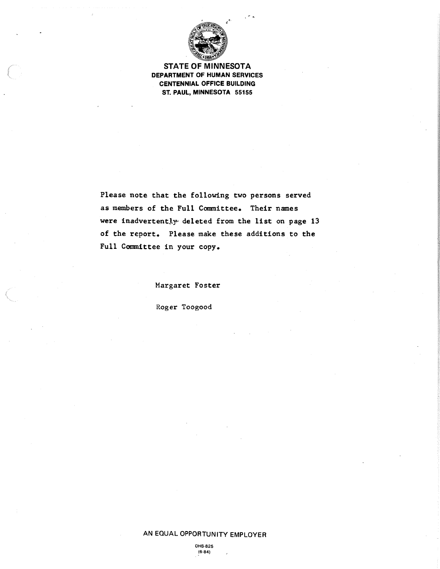

. *.* .

#### STATE OF MINNESOTA DEPARTMENT OF HUMAN SERVICES CENTENNIAL OFFICE BUILDING ST. PAUL, MINNESOTA 55155

Please note that the following two persons served as members of the Full Committee. Their names were inadvertently deleted from the list on page 13 of the report. Please make these additions to the Full Committee in your copy.

Margaret Foster

Roger Toogood

(8-84)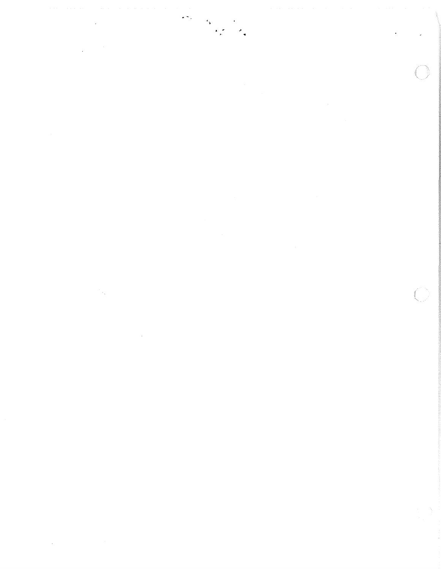

 $\mathcal{L}_{\mathbf{A}}$  .

 $\begin{pmatrix} 1 & 0 \\ 0 & 1 \end{pmatrix},$ 

 $\label{eq:2.1} \frac{1}{\sqrt{2\pi}}\int_{\mathbb{R}^3}\frac{d\mu}{\sqrt{2\pi}}\frac{d\mu}{\sqrt{2\pi}}\frac{d\mu}{\sqrt{2\pi}}\frac{d\mu}{\sqrt{2\pi}}\frac{d\mu}{\sqrt{2\pi}}\frac{d\mu}{\sqrt{2\pi}}\frac{d\mu}{\sqrt{2\pi}}\frac{d\mu}{\sqrt{2\pi}}\frac{d\mu}{\sqrt{2\pi}}\frac{d\mu}{\sqrt{2\pi}}\frac{d\mu}{\sqrt{2\pi}}\frac{d\mu}{\sqrt{2\pi}}\frac{d\mu}{\sqrt{2\pi}}\frac{d\mu$  $\label{eq:2.1} \frac{1}{\sqrt{2}}\int_{\mathbb{R}^3}\frac{1}{\sqrt{2}}\left(\frac{1}{\sqrt{2}}\right)^2\frac{1}{\sqrt{2}}\left(\frac{1}{\sqrt{2}}\right)^2\frac{1}{\sqrt{2}}\left(\frac{1}{\sqrt{2}}\right)^2\frac{1}{\sqrt{2}}\left(\frac{1}{\sqrt{2}}\right)^2\frac{1}{\sqrt{2}}\left(\frac{1}{\sqrt{2}}\right)^2\frac{1}{\sqrt{2}}\frac{1}{\sqrt{2}}\frac{1}{\sqrt{2}}\frac{1}{\sqrt{2}}\frac{1}{\sqrt{2}}\frac{1}{\sqrt{2}}$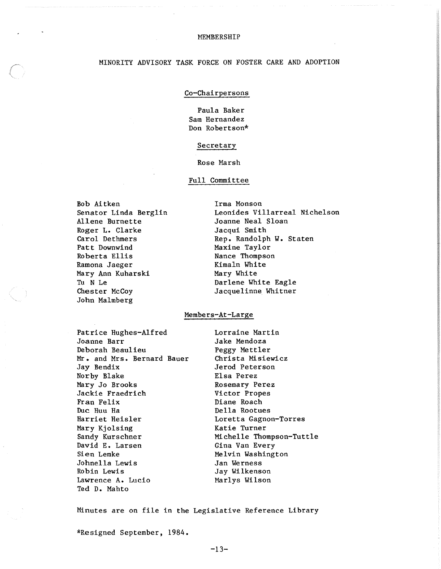#### MEMBERSHIP

#### MINORITY ADVISORY TASK FORCE ON FOSTER CARE AND ADOPTION

#### Co-Chairpersons

Paula Baker Sam Hernandez Don Robertson\*

#### Secretary

#### Rose Marsh

#### Full Committee

Bob Aitken Senator Linda Berglin Allene Burnette Roger L. Clarke Carol Dethmers Patt Downwind Roberta Ellis Ramona Jaeger Mary Ann Kuharski Tu N Le Chester McCoy John Malmberg

Irma Monson Leonides Villarreal Nichelson Joanne Neal Sloan Jacqui Smith Rep. Randolph W. Staten Maxine Taylor Nance Thompson Kimaln White Mary White Darlene White Eagle Jacquelinne Whitner

#### Members-At-Large

Patrice Hughes-Alfred Joanne Barr Deborah Beaulieu Mr. and Mrs. Bernard Bauer Jay Bendix Norby Blake Mary Jo Brooks Jackie Fraedrich Fran Felix Duc Huu Ha Harriet Heisler Mary Kjolsing Sandy Kurschner David E. Larsen Sien Lemke Johnella Lewis Robin Lewis Lawrence A. Lucio Ted D. Mahto

Lorraine Martin Jake Mendoza Peggy Mettler Christa Misiewicz Jerod Peterson Elsa Perez Rosemary Perez Victor Propes Diane Roach Della Rootues Loretta Gagnon-Torres Katie Turner Michelle Thompson-Tuttle Gina Van Every Melvin Washington Jan Werness Jay Wilkenson Marlys Wilson

Minutes are on file in the Legislative Reference Library

\*Resigned September, 1984.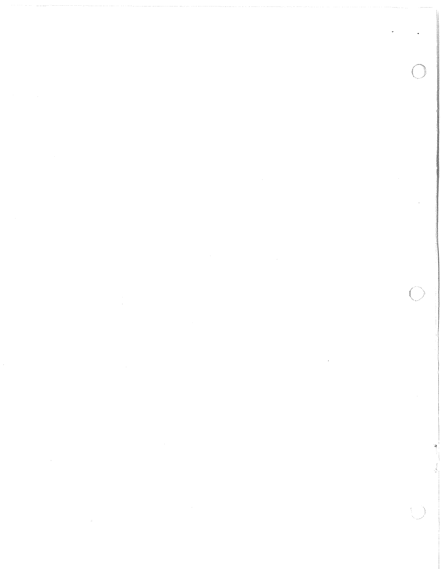$\mathcal{L}_{\mathcal{A}}$ 

 $\hat{\boldsymbol{\epsilon}}$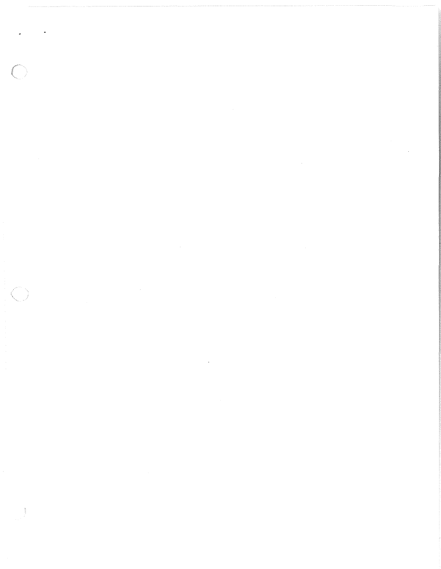